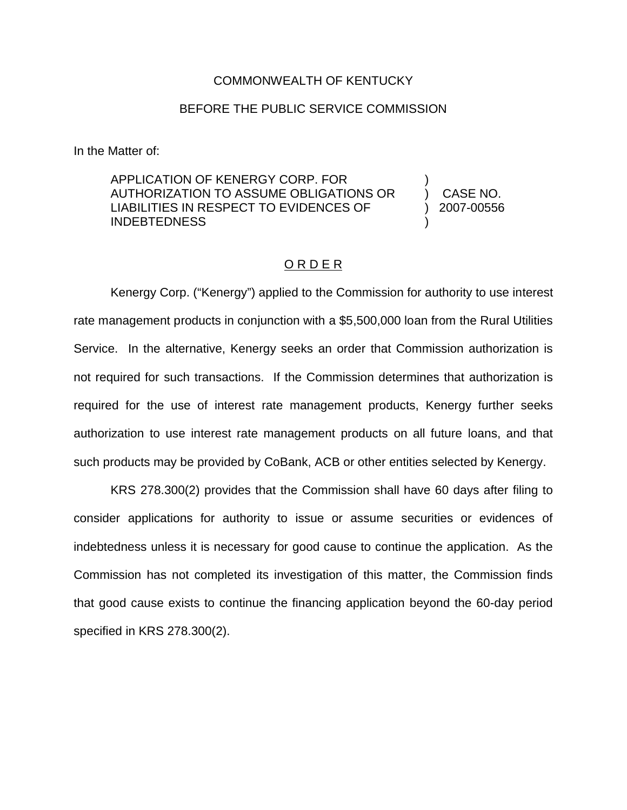## COMMONWEALTH OF KENTUCKY

## BEFORE THE PUBLIC SERVICE COMMISSION

In the Matter of:

APPLICATION OF KENERGY CORP. FOR AUTHORIZATION TO ASSUME OBLIGATIONS OR LIABILITIES IN RESPECT TO EVIDENCES OF INDEBTEDNESS

) CASE NO. ) 2007-00556

)

)

## O R D E R

Kenergy Corp. ("Kenergy") applied to the Commission for authority to use interest rate management products in conjunction with a \$5,500,000 loan from the Rural Utilities Service. In the alternative, Kenergy seeks an order that Commission authorization is not required for such transactions. If the Commission determines that authorization is required for the use of interest rate management products, Kenergy further seeks authorization to use interest rate management products on all future loans, and that such products may be provided by CoBank, ACB or other entities selected by Kenergy.

KRS 278.300(2) provides that the Commission shall have 60 days after filing to consider applications for authority to issue or assume securities or evidences of indebtedness unless it is necessary for good cause to continue the application. As the Commission has not completed its investigation of this matter, the Commission finds that good cause exists to continue the financing application beyond the 60-day period specified in KRS 278.300(2).